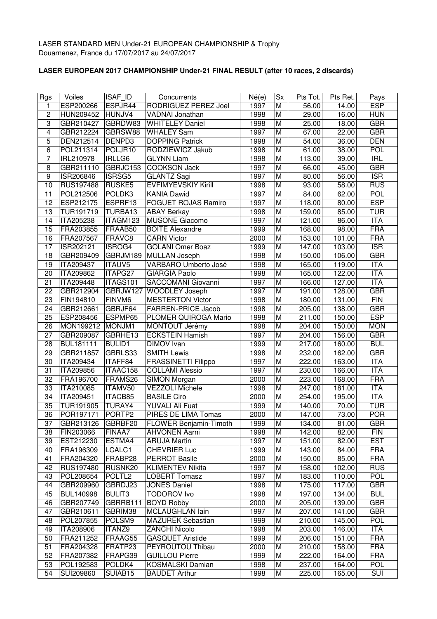## **LASER EUROPEAN 2017 CHAMPIONSHIP Under-21 FINAL RESULT (after 10 races, 2 discards)**

| <b>Rgs</b>              | Voiles                 | <b>ISAF ID</b>      | Concurrents                                     | Né(e) | <b>Sx</b>      | Pts Tot.           | Pts Ret. | Pays                     |
|-------------------------|------------------------|---------------------|-------------------------------------------------|-------|----------------|--------------------|----------|--------------------------|
| 1                       | ESP200266              | ESPJR44             | <b>RODRIGUEZ PEREZ Joel</b>                     | 1997  | M              | $\overline{56.00}$ | 14.00    | <b>ESP</b>               |
| $\overline{c}$          | HUN209452              | HUNJV4              | VADNAI Jonathan                                 | 1998  | M              | 29.00              | 16.00    | <b>HUN</b>               |
| 3                       | GBR210427              | GBRDW83             | <b>WHITELEY Daniel</b>                          | 1998  | M              | 25.00              | 18.00    | <b>GBR</b>               |
| $\overline{\mathbf{4}}$ | GBR212224              | GBRSW88             | <b>WHALEY Sam</b>                               | 1997  | M              | 67.00              | 22.00    | <b>GBR</b>               |
| 5                       | DEN212514              | DENPD3              | <b>DOPPING Patrick</b>                          | 1998  | M              | 54.00              | 36.00    | <b>DEN</b>               |
| 6                       | POL211314              | POLJR10             | RODZIEWICZ Jakub                                | 1998  | M              | 61.00              | 38.00    | <b>POL</b>               |
| $\overline{7}$          | IRL210978              | IRLLG6              | <b>GLYNN Liam</b>                               | 1998  | M              | 113.00             | 39.00    | IRL                      |
| 8                       | GBR211110              | GBRJC153            | <b>COOKSON Jack</b>                             | 1997  | M              | 66.00              | 45.00    | <b>GBR</b>               |
| 9                       | ISR206846              | ISRSG5              | <b>GLANTZ Sagi</b>                              | 1997  | M              | 80.00              | 56.00    | $\overline{\text{ISR}}$  |
| $\overline{10}$         | RUS197488              | RUSKE5              | <b>EVFIMYEVSKIY Kirill</b>                      | 1998  | M              | 93.00              | 58.00    | <b>RUS</b>               |
| 11                      | POL212506              | POLDK <sub>3</sub>  | <b>KANIA Dawid</b>                              | 1997  | M              | 84.00              | 62.00    | POL                      |
| 12                      | ESP212175              | ESPRF13             | <b>FOGUET ROJAS Ramiro</b>                      | 1997  | M              | 118.00             | 80.00    | <b>ESP</b>               |
| 13                      | TUR191719              | TURBA13             | <b>ABAY Berkay</b>                              | 1998  | M              | 159.00             | 85.00    | <b>TUR</b>               |
| 14                      | ITA205238              | ITAGM123            | <b>MUSONE Giacomo</b>                           | 1997  | M              | 121.00             | 86.00    | <b>ITA</b>               |
| 15                      | FRA203855              | FRAAB50             | <b>BOITE Alexandre</b>                          | 1999  | M              | 168.00             | 98.00    | <b>FRA</b>               |
| 16                      | FRA207567              | FRAVC8              | <b>CARN Victor</b>                              | 2000  | M              | 153.00             | 101.00   | <b>FRA</b>               |
| 17                      | ISR202121              | ISROG4              | <b>GOLANI Omer Boaz</b>                         | 1999  | M              | 147.00             | 103.00   | $\overline{\text{ISR}}$  |
| 18                      | GBR209409              | GBRJM189            | <b>MULLAN Joseph</b>                            | 1998  | M              | 150.00             | 106.00   | <b>GBR</b>               |
| 19                      | ITA209437              | <b>ITAUV5</b>       | VARBARO Umberto José                            | 1998  | M              | 165.00             | 119.00   | <b>ITA</b>               |
| 20                      | ITA209862              | ITAPG27             | <b>GIARGIA Paolo</b>                            | 1998  | M              | 165.00             | 122.00   | <b>ITA</b>               |
| 21                      | ITA209448              | ITAGS101            | SACCOMANI Giovanni                              | 1997  | M              | 166.00             | 127.00   | ITA                      |
| 22                      | GBR212904              | GBRJW127            | <b>WOODLEY Joseph</b>                           | 1997  | M              | 191.00             | 128.00   | <b>GBR</b>               |
| 23                      | FIN194810              | FINVM6              | <b>MESTERTON Victor</b>                         | 1998  | M              | 180.00             | 131.00   | FIN                      |
| 24                      | GBR212661              | GBRJF64             | <b>FARREN-PRICE Jacob</b>                       | 1998  | M              | 205.00             | 138.00   | <b>GBR</b>               |
| 25                      | ESP208456              | ESPMP65             | PLOMER QUIROGA Mario                            | 1998  | M              | 211.00             | 150.00   | <b>ESP</b>               |
| 26                      | MON199212              | MONJM1              | MONTOUT Jérémy                                  | 1998  | M              | 204.00             | 150.00   | <b>MON</b>               |
| 27                      | GBR209087              | GBRHE13             | <b>ECKSTEIN Hamish</b>                          | 1997  | M              | 204.00             | 156.00   | <b>GBR</b>               |
| 28                      | <b>BUL181111</b>       | <b>BULID1</b>       | DIMOV Ivan                                      | 1999  | M              | 217.00             | 160.00   | <b>BUL</b>               |
| 29                      | GBR211857              | GBRLS33             | <b>SMITH Lewis</b>                              | 1998  | M              | 232.00             | 162.00   | <b>GBR</b>               |
| 30                      | ITA209434              | ITAFF84             | FRASSINETTI Filippo                             | 1997  | M              | 222.00             | 163.00   | <b>ITA</b>               |
| 31                      | ITA209856              | ITAAC158            | <b>COLLAMI Alessio</b>                          | 1997  | M              | 230.00             | 166.00   | <b>ITA</b>               |
| 32                      | FRA196700              | FRAMS26             | <b>SIMON Morgan</b>                             | 2000  | M              | 223.00             | 168.00   | <b>FRA</b>               |
| 33                      | ITA210085              | ITAMV50             | <b>VEZZOLI Michele</b>                          | 1998  | M              | 247.00             | 181.00   | <b>ITA</b>               |
| 34                      | ITA209451              | ITACB85             | <b>BASILE Ciro</b>                              | 2000  | M              | 254.00             | 195.00   | <b>ITA</b>               |
| 35                      | TUR191905              | TURAY4              | YUVALI Ali Fuat                                 | 1999  | M              | 140.00             | 70.00    | <b>TUR</b>               |
| $\overline{36}$         | POR197171              | PORTP <sub>2</sub>  | PIRES DE LIMA Tomas                             | 2000  | $\overline{M}$ | 147.00             | 73.00    | POR                      |
| 37                      | GBR213126              | GBRBF20             | FLOWER Benjamin-Timoth                          | 1999  | M              | 134.00             | 81.00    | <b>GBR</b>               |
| 38                      | FIN203066              | FINAA7              | <b>AHVONEN Aarni</b>                            | 1998  | M              | 142.00             | 82.00    | <b>FIN</b>               |
| 39                      | EST212230              | ESTMA4              | <b>ARUJA Martin</b>                             | 1997  | M              | 151.00             | 82.00    | <b>EST</b>               |
| 40                      | FRA196309              | LCALC1              | <b>CHEVRIER Luc</b>                             | 1999  | M              | 143.00             | 84.00    | <b>FRA</b>               |
| 41                      | FRA204320              | FRABP28             | <b>PERROT Basile</b>                            | 2000  | M              | 150.00             | 85.00    | <b>FRA</b>               |
| 42                      | RUS197480              | RUSNK20             | <b>KLIMENTEV Nikita</b>                         | 1997  | M              | 158.00             | 102.00   | <b>RUS</b>               |
| 43                      | POL208654              | POLTL <sub>2</sub>  | <b>LOBERT Tomasz</b>                            | 1997  | M              | 183.00             | 110.00   | <b>POL</b>               |
| 44                      | GBR209960              | GBRDJ23             | <b>JONES Daniel</b>                             | 1998  | M              | 175.00             | 117.00   | <b>GBR</b>               |
| 45                      | BUL140998              | <b>BULIT3</b>       | <b>TODOROV</b> Ivo                              | 1998  | M              | 197.00             | 134.00   | <b>BUL</b>               |
| 46                      | GBR207749              | GBRRB111            | <b>BOYD Robby</b>                               | 2000  | M              | 205.00             | 139.00   | <b>GBR</b>               |
| 47                      | GBR210611              | GBRIM38             | MCLAUGHLAN lain                                 | 1997  | M              | 207.00             | 141.00   | <b>GBR</b>               |
| 48                      | POL207855              | POLSM9              | <b>MAZUREK Sebastian</b>                        | 1999  | M              | 210.00             | 145.00   | <b>POL</b>               |
| 49                      | ITA208906              | ITANZ9              | <b>ZANCHI Nicolo</b>                            | 1998  | M              | 203.00             | 146.00   | <b>ITA</b>               |
| 50                      | FRA211252              | FRAAG55             | <b>GASQUET Aristide</b>                         | 1999  | M              | 206.00             | 151.00   | <b>FRA</b>               |
| 51                      | FRA204328              | FRATP23             | PEYROUTOU Thibau                                | 2000  | M              | 210.00             | 158.00   | <b>FRA</b>               |
| 52                      | FRA207382              | FRAPG39             | <b>GUILLOU Pierre</b>                           | 1999  | M              | 222.00             | 164.00   | <b>FRA</b><br><b>POL</b> |
| 53<br>$\overline{54}$   | POL192583<br>SUI209860 | POLDK4              | <b>KOSMALSKI Damian</b><br><b>BAUDET Arthur</b> | 1998  | M              | 237.00             | 164.00   | SUI                      |
|                         |                        | SUIAB <sub>15</sub> |                                                 | 1998  | М              | 225.00             | 165.00   |                          |